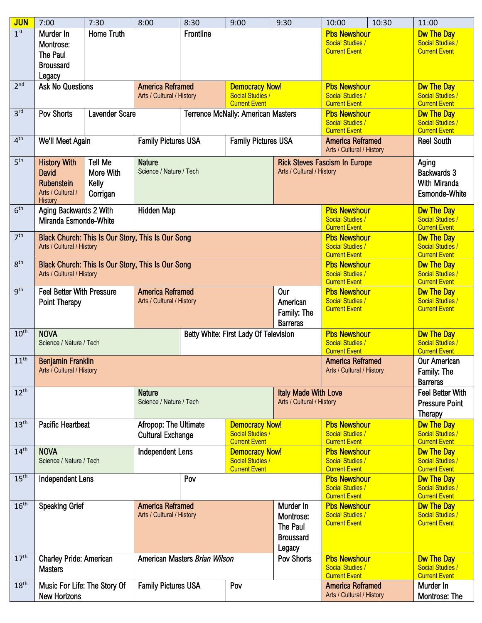| <b>JUN</b>       | 7:00                                                                                                                                                     | 7:30                                             | 8:00                                                                                                | 8:30                                                 | 9:00                                                                     | 9:30                                                             | 10:00                                                                  | 10:30                                                                | 11:00                                                                |
|------------------|----------------------------------------------------------------------------------------------------------------------------------------------------------|--------------------------------------------------|-----------------------------------------------------------------------------------------------------|------------------------------------------------------|--------------------------------------------------------------------------|------------------------------------------------------------------|------------------------------------------------------------------------|----------------------------------------------------------------------|----------------------------------------------------------------------|
| 1 <sup>st</sup>  | Murder In<br>Montrose:<br>The Paul<br><b>Broussard</b><br>Legacy                                                                                         | <b>Home Truth</b>                                |                                                                                                     | Frontline                                            |                                                                          |                                                                  | <b>Pbs Newshour</b><br>Social Studies /<br><b>Current Event</b>        |                                                                      | <b>Dw The Day</b><br><b>Social Studies /</b><br><b>Current Event</b> |
| 2 <sup>nd</sup>  | <b>Ask No Questions</b>                                                                                                                                  |                                                  | <b>America Reframed</b><br>Arts / Cultural / History                                                |                                                      | <b>Democracy Now!</b><br><b>Social Studies /</b><br><b>Current Event</b> |                                                                  | <b>Pbs Newshour</b><br><b>Social Studies /</b><br><b>Current Event</b> |                                                                      | <b>Dw The Day</b><br>Social Studies /<br><b>Current Event</b>        |
| 3 <sup>rd</sup>  | Pov Shorts<br><b>Lavender Scare</b>                                                                                                                      |                                                  |                                                                                                     |                                                      |                                                                          | <b>Terrence McNally: American Masters</b>                        |                                                                        | <b>Pbs Newshour</b><br>Social Studies /<br><b>Current Event</b>      |                                                                      |
| 4 <sup>th</sup>  | We'll Meet Again                                                                                                                                         |                                                  | <b>Family Pictures USA</b>                                                                          |                                                      | <b>Family Pictures USA</b>                                               |                                                                  | <b>America Reframed</b><br>Arts / Cultural / History                   |                                                                      | <b>Current Event</b><br><b>Reel South</b>                            |
| 5 <sup>th</sup>  | <b>History With</b><br><b>David</b><br><b>Rubenstein</b><br>Arts / Cultural /<br><b>History</b>                                                          | <b>Tell Me</b><br>More With<br>Kelly<br>Corrigan | <b>Nature</b>                                                                                       | Science / Nature / Tech<br>Arts / Cultural / History |                                                                          |                                                                  | <b>Rick Steves Fascism In Europe</b>                                   |                                                                      | Aging<br>Backwards 3<br>With Miranda<br><b>Esmonde-White</b>         |
| 6 <sup>th</sup>  | Aging Backwards 2 With<br>Miranda Esmonde-White                                                                                                          |                                                  | Hidden Map                                                                                          |                                                      |                                                                          |                                                                  | <b>Pbs Newshour</b><br><b>Social Studies /</b><br><b>Current Event</b> |                                                                      | <b>Dw The Day</b><br>Social Studies /<br><b>Current Event</b>        |
| 7 <sup>th</sup>  | <b>Pbs Newshour</b><br>Black Church: This Is Our Story, This Is Our Song<br>Arts / Cultural / History<br><b>Social Studies /</b><br><b>Current Event</b> |                                                  |                                                                                                     |                                                      |                                                                          |                                                                  |                                                                        | <b>Dw The Day</b><br><b>Social Studies /</b><br><b>Current Event</b> |                                                                      |
| 8 <sup>th</sup>  | Black Church: This Is Our Story, This Is Our Song<br><b>Pbs Newshour</b><br><b>Social Studies /</b><br>Arts / Cultural / History<br><b>Current Event</b> |                                                  |                                                                                                     |                                                      |                                                                          |                                                                  |                                                                        |                                                                      | <b>Dw The Day</b><br>Social Studies /<br><b>Current Event</b>        |
| 9 <sup>th</sup>  | <b>Feel Better With Pressure</b><br>Point Therapy                                                                                                        |                                                  | <b>America Reframed</b><br>Arts / Cultural / History                                                |                                                      |                                                                          | Our<br>American<br>Family: The<br><b>Barreras</b>                | <b>Pbs Newshour</b><br><b>Social Studies /</b><br><b>Current Event</b> |                                                                      | <b>Dw The Day</b><br>Social Studies /<br><b>Current Event</b>        |
| 10 <sup>th</sup> | <b>NOVA</b><br>Science / Nature / Tech                                                                                                                   |                                                  |                                                                                                     | Betty White: First Lady Of Television                |                                                                          |                                                                  | <b>Pbs Newshour</b><br><b>Social Studies /</b><br><b>Current Event</b> |                                                                      | <b>Dw The Day</b><br>Social Studies /<br><b>Current Event</b>        |
| 11 <sup>th</sup> | <b>Benjamin Franklin</b><br>Arts / Cultural / History                                                                                                    |                                                  |                                                                                                     |                                                      |                                                                          |                                                                  |                                                                        | America Reframed<br>Arts / Cultural / History                        |                                                                      |
| $12^{th}$        |                                                                                                                                                          |                                                  | <b>Nature</b><br>Science / Nature / Tech                                                            |                                                      |                                                                          | <b>Italy Made With Love</b><br>Arts / Cultural / History         |                                                                        | <b>Feel Better With</b><br><b>Pressure Point</b><br><b>Therapy</b>   |                                                                      |
| 13 <sup>th</sup> | <b>Pacific Heartbeat</b>                                                                                                                                 |                                                  | Afropop: The Ultimate<br><b>Cultural Exchange</b>                                                   |                                                      | <b>Democracy Now!</b><br>Social Studies /<br><b>Current Event</b>        |                                                                  | <b>Pbs Newshour</b><br><b>Social Studies /</b><br><b>Current Event</b> |                                                                      | <b>Dw The Day</b><br>Social Studies /<br><b>Current Event</b>        |
| 14 <sup>th</sup> | <b>NOVA</b><br>Science / Nature / Tech                                                                                                                   |                                                  | <b>Independent Lens</b><br><b>Democracy Now!</b><br><b>Social Studies /</b><br><b>Current Event</b> |                                                      |                                                                          |                                                                  | <b>Pbs Newshour</b><br><b>Social Studies /</b><br><b>Current Event</b> |                                                                      | <b>Dw The Day</b><br>Social Studies /<br><b>Current Event</b>        |
| 15 <sup>th</sup> | <b>Independent Lens</b>                                                                                                                                  |                                                  |                                                                                                     | Pov                                                  |                                                                          |                                                                  | <b>Pbs Newshour</b><br><b>Social Studies /</b><br><b>Current Event</b> |                                                                      | <b>Dw The Day</b><br><b>Social Studies /</b><br><b>Current Event</b> |
| 16 <sup>th</sup> | <b>Speaking Grief</b>                                                                                                                                    |                                                  | <b>America Reframed</b><br>Arts / Cultural / History                                                |                                                      |                                                                          | Murder In<br>Montrose:<br>The Paul<br><b>Broussard</b><br>Legacy | <b>Pbs Newshour</b><br><b>Social Studies /</b><br><b>Current Event</b> |                                                                      | <b>Dw The Day</b><br>Social Studies /<br><b>Current Event</b>        |
| 17 <sup>th</sup> | Charley Pride: American<br><b>Masters</b>                                                                                                                |                                                  | American Masters Brian Wilson                                                                       |                                                      |                                                                          | <b>Pov Shorts</b>                                                | <b>Pbs Newshour</b><br><b>Social Studies /</b><br><b>Current Event</b> |                                                                      | <b>Dw The Day</b><br>Social Studies /<br><b>Current Event</b>        |
| 18 <sup>th</sup> | Music For Life: The Story Of<br><b>New Horizons</b>                                                                                                      |                                                  | <b>Family Pictures USA</b>                                                                          |                                                      | Pov                                                                      |                                                                  | America Reframed<br>Arts / Cultural / History                          |                                                                      | Murder In<br>Montrose: The                                           |